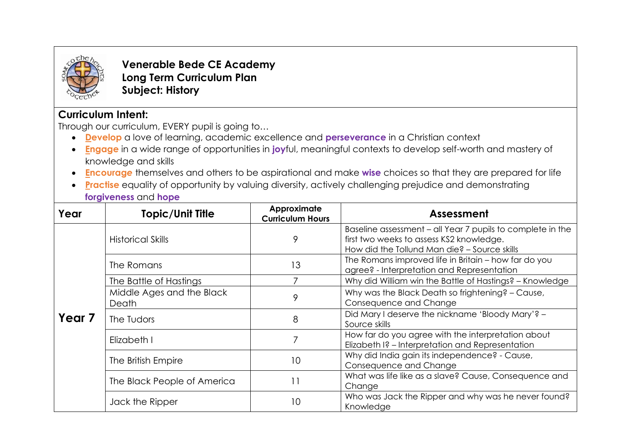

**Venerable Bede CE Academy Long Term Curriculum Plan Subject: History**

# **Curriculum Intent:**

Through our curriculum, EVERY pupil is going to…

- **Develop** a love of learning, academic excellence and **perseverance** in a Christian context
- **Engage** in a wide range of opportunities in **joy**ful, meaningful contexts to develop self-worth and mastery of knowledge and skills
- **Encourag***e* themselves and others to be aspirational and make **wise** choices so that they are prepared for life
- **Practise** equality of opportunity by valuing diversity, actively challenging prejudice and demonstrating **forgiveness** and **hope**

| Year              | <b>Topic/Unit Title</b>            | Approximate<br><b>Curriculum Hours</b> | Assessment                                                                                                                                             |
|-------------------|------------------------------------|----------------------------------------|--------------------------------------------------------------------------------------------------------------------------------------------------------|
| Year <sub>7</sub> | <b>Historical Skills</b>           | 9                                      | Baseline assessment - all Year 7 pupils to complete in the<br>first two weeks to assess KS2 knowledge.<br>How did the Tollund Man die? - Source skills |
|                   | The Romans                         | 13                                     | The Romans improved life in Britain - how far do you<br>agree? - Interpretation and Representation                                                     |
|                   | The Battle of Hastings             |                                        | Why did William win the Battle of Hastings? - Knowledge                                                                                                |
|                   | Middle Ages and the Black<br>Death | 9                                      | Why was the Black Death so frightening? - Cause,<br>Consequence and Change                                                                             |
|                   | The Tudors                         | 8                                      | Did Mary I deserve the nickname 'Bloody Mary'? -<br>Source skills                                                                                      |
|                   | Elizabeth I                        |                                        | How far do you agree with the interpretation about<br>Elizabeth I? - Interpretation and Representation                                                 |
|                   | The British Empire                 | 10                                     | Why did India gain its independence? - Cause,<br>Consequence and Change                                                                                |
|                   | The Black People of America        | 11                                     | What was life like as a slave? Cause, Consequence and<br>Change                                                                                        |
|                   | Jack the Ripper                    | 10                                     | Who was Jack the Ripper and why was he never found?<br>Knowledge                                                                                       |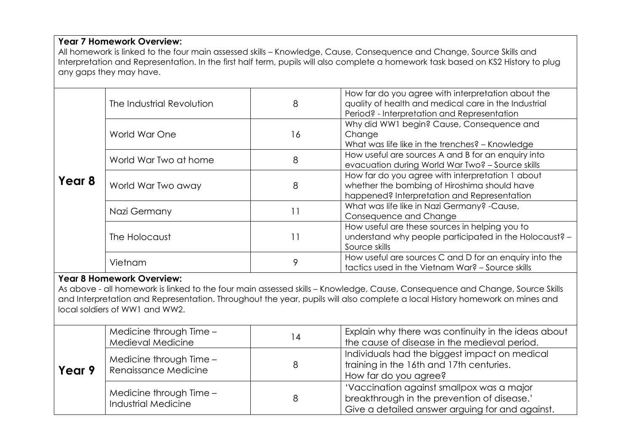## **Year 7 Homework Overview:**

All homework is linked to the four main assessed skills – Knowledge, Cause, Consequence and Change, Source Skills and Interpretation and Representation. In the first half term, pupils will also complete a homework task based on KS2 History to plug any gaps they may have.

| Year 8 | The Industrial Revolution | 8  | How far do you agree with interpretation about the<br>quality of health and medical care in the Industrial<br>Period? - Interpretation and Representation |
|--------|---------------------------|----|-----------------------------------------------------------------------------------------------------------------------------------------------------------|
|        | World War One             | 16 | Why did WW1 begin? Cause, Consequence and<br>Change<br>What was life like in the trenches? - Knowledge                                                    |
|        | World War Two at home     | 8  | How useful are sources A and B for an enquiry into<br>evacuation during World War Two? - Source skills                                                    |
|        | World War Two away        | 8  | How far do you agree with interpretation 1 about<br>whether the bombing of Hiroshima should have<br>happened? Interpretation and Representation           |
|        | Nazi Germany              | 11 | What was life like in Nazi Germany? - Cause,<br>Consequence and Change                                                                                    |
|        | The Holocaust             | 11 | How useful are these sources in helping you to<br>understand why people participated in the Holocaust? -<br>Source skills                                 |
|        | Vietnam                   | 9  | How useful are sources C and D for an enquiry into the<br>tactics used in the Vietnam War? - Source skills                                                |

#### **Year 8 Homework Overview:**

As above - all homework is linked to the four main assessed skills – Knowledge, Cause, Consequence and Change, Source Skills and Interpretation and Representation. Throughout the year, pupils will also complete a local History homework on mines and local soldiers of WW1 and WW2.

| Year 9 | Medicine through Time -<br>Medieval Medicine          | 14 | Explain why there was continuity in the ideas about<br>the cause of disease in the medieval period.                                         |
|--------|-------------------------------------------------------|----|---------------------------------------------------------------------------------------------------------------------------------------------|
|        | Medicine through Time -<br>Renaissance Medicine       | 8  | Individuals had the biggest impact on medical<br>training in the 16th and 17th centuries.<br>How far do you agree?                          |
|        | Medicine through Time -<br><b>Industrial Medicine</b> | 8  | 'Vaccination against smallpox was a major<br>breakthrough in the prevention of disease.'<br>Give a detailed answer arguing for and against. |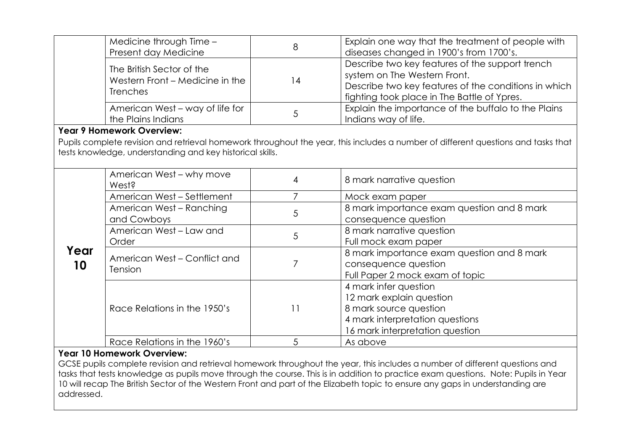|            | Medicine through Time -<br>Present day Medicine                                                                                                                                                | 8              | Explain one way that the treatment of people with<br>diseases changed in 1900's from 1700's.                                                                                           |  |  |
|------------|------------------------------------------------------------------------------------------------------------------------------------------------------------------------------------------------|----------------|----------------------------------------------------------------------------------------------------------------------------------------------------------------------------------------|--|--|
|            | The British Sector of the<br>Western Front - Medicine in the<br><b>Trenches</b>                                                                                                                | 14             | Describe two key features of the support trench<br>system on The Western Front.<br>Describe two key features of the conditions in which<br>fighting took place in The Battle of Ypres. |  |  |
|            | American West - way of life for<br>the Plains Indians                                                                                                                                          | 5              | Explain the importance of the buffalo to the Plains<br>Indians way of life.                                                                                                            |  |  |
|            | <b>Year 9 Homework Overview:</b>                                                                                                                                                               |                |                                                                                                                                                                                        |  |  |
|            | Pupils complete revision and retrieval homework throughout the year, this includes a number of different questions and tasks that<br>tests knowledge, understanding and key historical skills. |                |                                                                                                                                                                                        |  |  |
|            | American West – why move<br>West?                                                                                                                                                              | $\overline{4}$ | 8 mark narrative question                                                                                                                                                              |  |  |
|            | American West - Settlement                                                                                                                                                                     | 7              | Mock exam paper                                                                                                                                                                        |  |  |
| Year<br>10 | American West - Ranching<br>and Cowboys                                                                                                                                                        | 5              | 8 mark importance exam question and 8 mark<br>consequence question                                                                                                                     |  |  |
|            | American West - Law and<br>Order                                                                                                                                                               | 5              | 8 mark narrative question<br>Full mock exam paper                                                                                                                                      |  |  |
|            | American West - Conflict and<br>Tension                                                                                                                                                        | 7              | 8 mark importance exam question and 8 mark<br>consequence question<br>Full Paper 2 mock exam of topic                                                                                  |  |  |
|            | Race Relations in the 1950's                                                                                                                                                                   | 11             | 4 mark infer question<br>12 mark explain question<br>8 mark source question<br>4 mark interpretation questions                                                                         |  |  |
|            |                                                                                                                                                                                                |                | 16 mark interpretation question                                                                                                                                                        |  |  |

## **Year 10 Homework Overview:**

GCSE pupils complete revision and retrieval homework throughout the year, this includes a number of different questions and tasks that tests knowledge as pupils move through the course. This is in addition to practice exam questions. Note: Pupils in Year 10 will recap The British Sector of the Western Front and part of the Elizabeth topic to ensure any gaps in understanding are addressed.